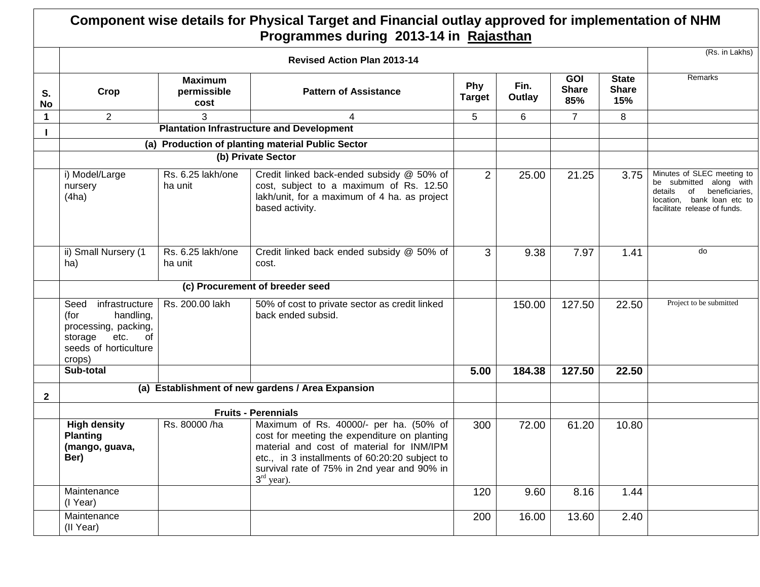## **Component wise details for Physical Target and Financial outlay approved for implementation of NHM Programmes during 2013-14 in Rajasthan**

|                 | <b>Revised Action Plan 2013-14</b>                                                                                              |                                       |                                                                                                                                                                                                                                                      |                      |                |                                   |                                     |                                                                                                                                                     |
|-----------------|---------------------------------------------------------------------------------------------------------------------------------|---------------------------------------|------------------------------------------------------------------------------------------------------------------------------------------------------------------------------------------------------------------------------------------------------|----------------------|----------------|-----------------------------------|-------------------------------------|-----------------------------------------------------------------------------------------------------------------------------------------------------|
| S.<br><b>No</b> | Crop                                                                                                                            | <b>Maximum</b><br>permissible<br>cost | <b>Pattern of Assistance</b>                                                                                                                                                                                                                         | Phy<br><b>Target</b> | Fin.<br>Outlay | <b>GOI</b><br><b>Share</b><br>85% | <b>State</b><br><b>Share</b><br>15% | Remarks                                                                                                                                             |
| $\mathbf{1}$    | $\overline{2}$                                                                                                                  | 3                                     | 4                                                                                                                                                                                                                                                    | 5                    | 6              | $\overline{7}$                    | 8                                   |                                                                                                                                                     |
|                 |                                                                                                                                 |                                       | <b>Plantation Infrastructure and Development</b>                                                                                                                                                                                                     |                      |                |                                   |                                     |                                                                                                                                                     |
|                 |                                                                                                                                 |                                       | (a) Production of planting material Public Sector                                                                                                                                                                                                    |                      |                |                                   |                                     |                                                                                                                                                     |
|                 |                                                                                                                                 |                                       | (b) Private Sector                                                                                                                                                                                                                                   |                      |                |                                   |                                     |                                                                                                                                                     |
|                 | i) Model/Large<br>nursery<br>(4ha)                                                                                              | Rs. 6.25 lakh/one<br>ha unit          | Credit linked back-ended subsidy @ 50% of<br>cost, subject to a maximum of Rs. 12.50<br>lakh/unit, for a maximum of 4 ha. as project<br>based activity.                                                                                              | 2                    | 25.00          | 21.25                             | 3.75                                | Minutes of SLEC meeting to<br>be submitted along with<br>details<br>of beneficiaries,<br>location. bank loan etc to<br>facilitate release of funds. |
|                 | ii) Small Nursery (1<br>ha)                                                                                                     | Rs. 6.25 lakh/one<br>ha unit          | Credit linked back ended subsidy @ 50% of<br>cost.                                                                                                                                                                                                   | 3                    | 9.38           | 7.97                              | 1.41                                | do                                                                                                                                                  |
|                 | (c) Procurement of breeder seed                                                                                                 |                                       |                                                                                                                                                                                                                                                      |                      |                |                                   |                                     |                                                                                                                                                     |
|                 | Seed<br>infrastructure<br>handling,<br>(for<br>processing, packing,<br>etc.<br>of<br>storage<br>seeds of horticulture<br>crops) | Rs. 200.00 lakh                       | 50% of cost to private sector as credit linked<br>back ended subsid.                                                                                                                                                                                 |                      | 150.00         | 127.50                            | 22.50                               | Project to be submitted                                                                                                                             |
|                 | Sub-total                                                                                                                       |                                       |                                                                                                                                                                                                                                                      | 5.00                 | 184.38         | 127.50                            | 22.50                               |                                                                                                                                                     |
| $\mathbf{2}$    |                                                                                                                                 |                                       | (a) Establishment of new gardens / Area Expansion                                                                                                                                                                                                    |                      |                |                                   |                                     |                                                                                                                                                     |
|                 | <b>Fruits - Perennials</b>                                                                                                      |                                       |                                                                                                                                                                                                                                                      |                      |                |                                   |                                     |                                                                                                                                                     |
|                 | <b>High density</b><br><b>Planting</b><br>(mango, guava,<br>Ber)                                                                | Rs. 80000 /ha                         | Maximum of Rs. 40000/- per ha. (50% of<br>cost for meeting the expenditure on planting<br>material and cost of material for INM/IPM<br>etc., in 3 installments of 60:20:20 subject to<br>survival rate of 75% in 2nd year and 90% in<br>$3rd$ year). | 300                  | 72.00          | 61.20                             | 10.80                               |                                                                                                                                                     |
|                 | Maintenance<br>(I Year)                                                                                                         |                                       |                                                                                                                                                                                                                                                      | 120                  | 9.60           | 8.16                              | 1.44                                |                                                                                                                                                     |
|                 | Maintenance<br>(II Year)                                                                                                        |                                       |                                                                                                                                                                                                                                                      | 200                  | 16.00          | 13.60                             | 2.40                                |                                                                                                                                                     |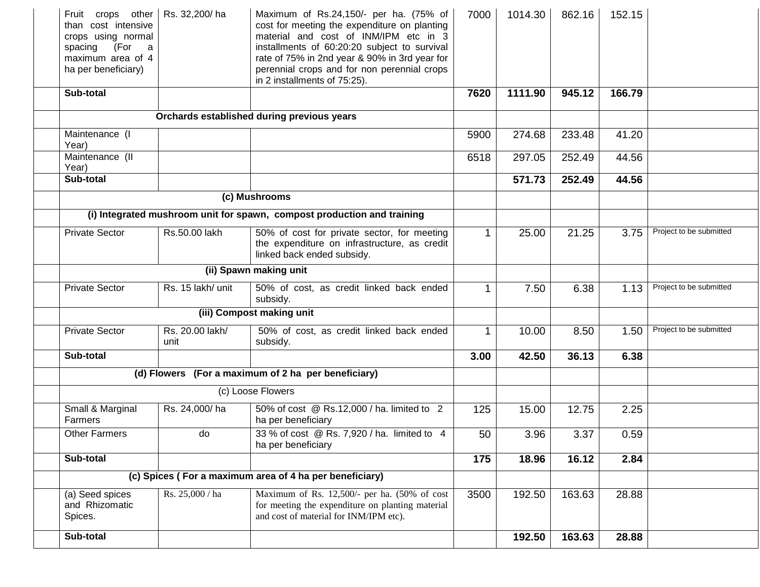| Fruit crops other   Rs. 32,200/ha<br>than cost intensive<br>crops using normal<br>(For a<br>spacing<br>maximum area of 4<br>ha per beneficiary) |                         | Maximum of Rs.24,150/- per ha. (75% of<br>cost for meeting the expenditure on planting<br>material and cost of INM/IPM etc in 3<br>installments of 60:20:20 subject to survival<br>rate of 75% in 2nd year & 90% in 3rd year for<br>perennial crops and for non perennial crops<br>in 2 installments of 75:25). | 7000 | 1014.30 | 862.16 | 152.15 |                         |  |
|-------------------------------------------------------------------------------------------------------------------------------------------------|-------------------------|-----------------------------------------------------------------------------------------------------------------------------------------------------------------------------------------------------------------------------------------------------------------------------------------------------------------|------|---------|--------|--------|-------------------------|--|
| Sub-total                                                                                                                                       |                         |                                                                                                                                                                                                                                                                                                                 | 7620 | 1111.90 | 945.12 | 166.79 |                         |  |
|                                                                                                                                                 |                         | Orchards established during previous years                                                                                                                                                                                                                                                                      |      |         |        |        |                         |  |
| Maintenance (I<br>Year)                                                                                                                         |                         |                                                                                                                                                                                                                                                                                                                 | 5900 | 274.68  | 233.48 | 41.20  |                         |  |
| Maintenance (II<br>Year)                                                                                                                        |                         |                                                                                                                                                                                                                                                                                                                 | 6518 | 297.05  | 252.49 | 44.56  |                         |  |
| Sub-total                                                                                                                                       |                         |                                                                                                                                                                                                                                                                                                                 |      | 571.73  | 252.49 | 44.56  |                         |  |
|                                                                                                                                                 |                         | (c) Mushrooms                                                                                                                                                                                                                                                                                                   |      |         |        |        |                         |  |
|                                                                                                                                                 |                         | (i) Integrated mushroom unit for spawn, compost production and training                                                                                                                                                                                                                                         |      |         |        |        |                         |  |
| <b>Private Sector</b>                                                                                                                           | Rs.50.00 lakh           | 50% of cost for private sector, for meeting<br>the expenditure on infrastructure, as credit<br>linked back ended subsidy.                                                                                                                                                                                       |      | 25.00   | 21.25  | 3.75   | Project to be submitted |  |
|                                                                                                                                                 |                         | (ii) Spawn making unit                                                                                                                                                                                                                                                                                          |      |         |        |        |                         |  |
| <b>Private Sector</b>                                                                                                                           | Rs. 15 lakh/ unit       | 50% of cost, as credit linked back ended<br>subsidy.                                                                                                                                                                                                                                                            |      | 7.50    | 6.38   | 1.13   | Project to be submitted |  |
|                                                                                                                                                 |                         | (iii) Compost making unit                                                                                                                                                                                                                                                                                       |      |         |        |        |                         |  |
| <b>Private Sector</b>                                                                                                                           | Rs. 20.00 lakh/<br>unit | 50% of cost, as credit linked back ended<br>subsidy.                                                                                                                                                                                                                                                            |      | 10.00   | 8.50   | 1.50   | Project to be submitted |  |
| Sub-total                                                                                                                                       |                         |                                                                                                                                                                                                                                                                                                                 | 3.00 | 42.50   | 36.13  | 6.38   |                         |  |
|                                                                                                                                                 |                         | (d) Flowers (For a maximum of 2 ha per beneficiary)                                                                                                                                                                                                                                                             |      |         |        |        |                         |  |
|                                                                                                                                                 |                         | (c) Loose Flowers                                                                                                                                                                                                                                                                                               |      |         |        |        |                         |  |
| Small & Marginal<br>Farmers                                                                                                                     | Rs. 24,000/ha           | 50% of cost @ Rs.12,000 / ha. limited to 2<br>ha per beneficiary                                                                                                                                                                                                                                                | 125  | 15.00   | 12.75  | 2.25   |                         |  |
| <b>Other Farmers</b>                                                                                                                            | do                      | 33 % of cost @ Rs. 7,920 / ha. limited to 4<br>ha per beneficiary                                                                                                                                                                                                                                               | 50   | 3.96    | 3.37   | 0.59   |                         |  |
| Sub-total                                                                                                                                       |                         |                                                                                                                                                                                                                                                                                                                 | 175  | 18.96   | 16.12  | 2.84   |                         |  |
|                                                                                                                                                 |                         | (c) Spices (For a maximum area of 4 ha per beneficiary)                                                                                                                                                                                                                                                         |      |         |        |        |                         |  |
| (a) Seed spices<br>and Rhizomatic<br>Spices.                                                                                                    | Rs. 25,000 / ha         | Maximum of Rs. 12,500/- per ha. (50% of cost<br>for meeting the expenditure on planting material<br>and cost of material for INM/IPM etc).                                                                                                                                                                      | 3500 | 192.50  | 163.63 | 28.88  |                         |  |
| Sub-total                                                                                                                                       |                         |                                                                                                                                                                                                                                                                                                                 |      | 192.50  | 163.63 | 28.88  |                         |  |
|                                                                                                                                                 |                         |                                                                                                                                                                                                                                                                                                                 |      |         |        |        |                         |  |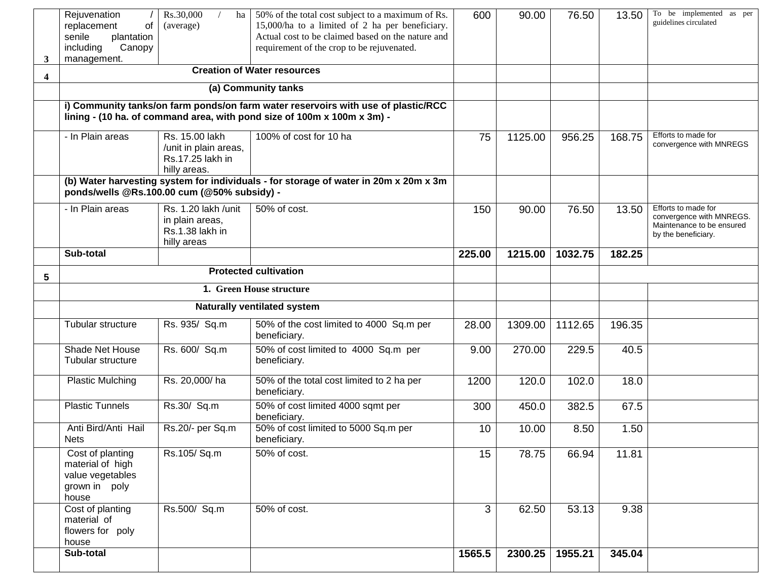| 3 | Rejuvenation<br>of<br>replacement<br>senile<br>plantation<br>Canopy<br>including<br>management.                                                              | Rs.30,000<br>ha<br>(average)                                                | 50% of the total cost subject to a maximum of Rs.<br>15,000/ha to a limited of 2 ha per beneficiary.<br>Actual cost to be claimed based on the nature and<br>requirement of the crop to be rejuvenated. | 600    | 90.00   | 76.50   | 13.50  | To be implemented as per<br>guidelines circulated                                                   |
|---|--------------------------------------------------------------------------------------------------------------------------------------------------------------|-----------------------------------------------------------------------------|---------------------------------------------------------------------------------------------------------------------------------------------------------------------------------------------------------|--------|---------|---------|--------|-----------------------------------------------------------------------------------------------------|
| 4 |                                                                                                                                                              |                                                                             | <b>Creation of Water resources</b>                                                                                                                                                                      |        |         |         |        |                                                                                                     |
|   |                                                                                                                                                              |                                                                             | (a) Community tanks                                                                                                                                                                                     |        |         |         |        |                                                                                                     |
|   | i) Community tanks/on farm ponds/on farm water reservoirs with use of plastic/RCC<br>lining - (10 ha. of command area, with pond size of 100m x 100m x 3m) - |                                                                             |                                                                                                                                                                                                         |        |         |         |        |                                                                                                     |
|   | - In Plain areas                                                                                                                                             | Rs. 15.00 lakh<br>/unit in plain areas,<br>Rs.17.25 lakh in<br>hilly areas. | 100% of cost for 10 ha                                                                                                                                                                                  | 75     | 1125.00 | 956.25  | 168.75 | Efforts to made for<br>convergence with MNREGS                                                      |
|   | ponds/wells @Rs.100.00 cum (@50% subsidy) -                                                                                                                  |                                                                             | (b) Water harvesting system for individuals - for storage of water in 20m x 20m x 3m                                                                                                                    |        |         |         |        |                                                                                                     |
|   | - In Plain areas                                                                                                                                             | Rs. 1.20 lakh /unit<br>in plain areas,<br>Rs.1.38 lakh in<br>hilly areas    | 50% of cost.                                                                                                                                                                                            | 150    | 90.00   | 76.50   | 13.50  | Efforts to made for<br>convergence with MNREGS.<br>Maintenance to be ensured<br>by the beneficiary. |
|   | Sub-total                                                                                                                                                    |                                                                             |                                                                                                                                                                                                         | 225.00 | 1215.00 | 1032.75 | 182.25 |                                                                                                     |
| 5 |                                                                                                                                                              |                                                                             | <b>Protected cultivation</b>                                                                                                                                                                            |        |         |         |        |                                                                                                     |
|   | 1. Green House structure                                                                                                                                     |                                                                             |                                                                                                                                                                                                         |        |         |         |        |                                                                                                     |
|   |                                                                                                                                                              |                                                                             | Naturally ventilated system                                                                                                                                                                             |        |         |         |        |                                                                                                     |
|   | Tubular structure                                                                                                                                            | Rs. 935/ Sq.m                                                               | 50% of the cost limited to 4000 Sq.m per<br>beneficiary.                                                                                                                                                | 28.00  | 1309.00 | 1112.65 | 196.35 |                                                                                                     |
|   | Shade Net House<br><b>Tubular structure</b>                                                                                                                  | Rs. 600/ Sq.m                                                               | 50% of cost limited to 4000 Sq.m per<br>beneficiary.                                                                                                                                                    | 9.00   | 270.00  | 229.5   | 40.5   |                                                                                                     |
|   | <b>Plastic Mulching</b>                                                                                                                                      | Rs. 20,000/ha                                                               | 50% of the total cost limited to 2 ha per<br>beneficiary.                                                                                                                                               | 1200   | 120.0   | 102.0   | 18.0   |                                                                                                     |
|   | <b>Plastic Tunnels</b>                                                                                                                                       | Rs.30/ Sq.m                                                                 | 50% of cost limited 4000 sqmt per<br>beneficiary.                                                                                                                                                       | 300    | 450.0   | 382.5   | 67.5   |                                                                                                     |
|   | Anti Bird/Anti Hail<br><b>Nets</b>                                                                                                                           | Rs.20/- per Sq.m                                                            | 50% of cost limited to 5000 Sq.m per<br>beneficiary.                                                                                                                                                    | 10     | 10.00   | 8.50    | 1.50   |                                                                                                     |
|   | Cost of planting<br>material of high<br>value vegetables<br>grown in poly<br>house                                                                           | Rs.105/Sq.m                                                                 | 50% of cost.                                                                                                                                                                                            | 15     | 78.75   | 66.94   | 11.81  |                                                                                                     |
|   | Cost of planting<br>material of<br>flowers for poly<br>house                                                                                                 | Rs.500/ Sq.m                                                                | 50% of cost.                                                                                                                                                                                            | 3      | 62.50   | 53.13   | 9.38   |                                                                                                     |
|   | Sub-total                                                                                                                                                    |                                                                             |                                                                                                                                                                                                         | 1565.5 | 2300.25 | 1955.21 | 345.04 |                                                                                                     |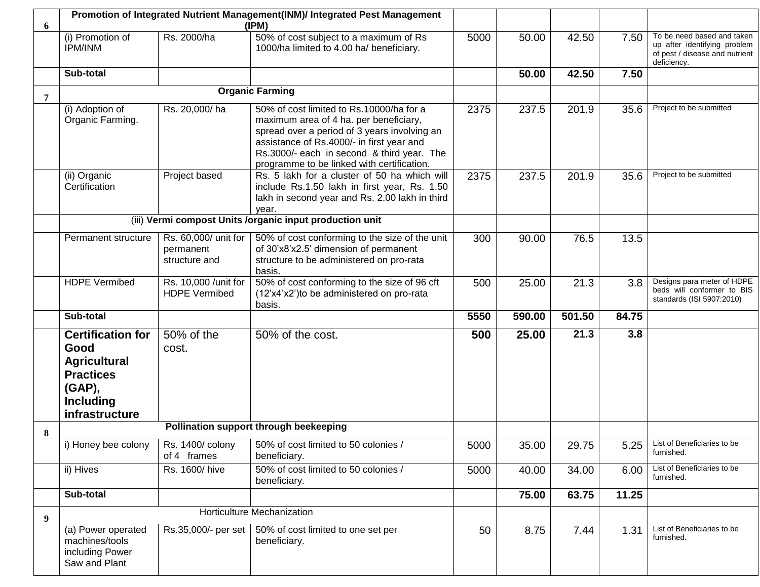| 6 | Promotion of Integrated Nutrient Management(INM)/ Integrated Pest Management                                                |                                                    |                                                                                                                                                                                                                                                                             |      |        |        |       |                                                                                                             |
|---|-----------------------------------------------------------------------------------------------------------------------------|----------------------------------------------------|-----------------------------------------------------------------------------------------------------------------------------------------------------------------------------------------------------------------------------------------------------------------------------|------|--------|--------|-------|-------------------------------------------------------------------------------------------------------------|
|   | (i) Promotion of<br><b>IPM/INM</b>                                                                                          | Rs. 2000/ha                                        | 50% of cost subject to a maximum of Rs<br>1000/ha limited to 4.00 ha/ beneficiary.                                                                                                                                                                                          | 5000 | 50.00  | 42.50  | 7.50  | To be need based and taken<br>up after identifying problem<br>of pest / disease and nutrient<br>deficiency. |
|   | Sub-total                                                                                                                   |                                                    |                                                                                                                                                                                                                                                                             |      | 50.00  | 42.50  | 7.50  |                                                                                                             |
| 7 |                                                                                                                             |                                                    | <b>Organic Farming</b>                                                                                                                                                                                                                                                      |      |        |        |       |                                                                                                             |
|   | (i) Adoption of<br>Organic Farming.                                                                                         | Rs. 20,000/ha                                      | 50% of cost limited to Rs.10000/ha for a<br>maximum area of 4 ha. per beneficiary,<br>spread over a period of 3 years involving an<br>assistance of Rs.4000/- in first year and<br>Rs.3000/- each in second & third year. The<br>programme to be linked with certification. | 2375 | 237.5  | 201.9  | 35.6  | Project to be submitted                                                                                     |
|   | (ii) Organic<br>Certification                                                                                               | Project based                                      | Rs. 5 lakh for a cluster of 50 ha which will<br>include Rs.1.50 lakh in first year, Rs. 1.50<br>lakh in second year and Rs. 2.00 lakh in third<br>year.                                                                                                                     | 2375 | 237.5  | 201.9  | 35.6  | Project to be submitted                                                                                     |
|   |                                                                                                                             |                                                    | (iii) Vermi compost Units /organic input production unit                                                                                                                                                                                                                    |      |        |        |       |                                                                                                             |
|   | Permanent structure                                                                                                         | Rs. 60,000/ unit for<br>permanent<br>structure and | 50% of cost conforming to the size of the unit<br>of 30'x8'x2.5' dimension of permanent<br>structure to be administered on pro-rata<br>basis.                                                                                                                               | 300  | 90.00  | 76.5   | 13.5  |                                                                                                             |
|   | <b>HDPE</b> Vermibed                                                                                                        | Rs. 10,000 / unit for<br><b>HDPE Vermibed</b>      | 50% of cost conforming to the size of 96 cft<br>(12'x4'x2') to be administered on pro-rata<br>basis.                                                                                                                                                                        | 500  | 25.00  | 21.3   | 3.8   | Designs para meter of HDPE<br>beds will conformer to BIS<br>standards (ISI 5907:2010)                       |
|   | Sub-total                                                                                                                   |                                                    |                                                                                                                                                                                                                                                                             | 5550 | 590.00 | 501.50 | 84.75 |                                                                                                             |
|   | <b>Certification for</b><br>Good<br><b>Agricultural</b><br><b>Practices</b><br>(GAP),<br><b>Including</b><br>infrastructure | 50% of the<br>cost.                                | 50% of the cost.                                                                                                                                                                                                                                                            | 500  | 25.00  | 21.3   | 3.8   |                                                                                                             |
| 8 |                                                                                                                             |                                                    | Pollination support through beekeeping                                                                                                                                                                                                                                      |      |        |        |       |                                                                                                             |
|   | i) Honey bee colony                                                                                                         | Rs. 1400/ colony<br>of 4 frames                    | 50% of cost limited to 50 colonies /<br>beneficiary.                                                                                                                                                                                                                        | 5000 | 35.00  | 29.75  | 5.25  | List of Beneficiaries to be<br>furnished.                                                                   |
|   | ii) Hives                                                                                                                   | Rs. 1600/hive                                      | 50% of cost limited to 50 colonies /<br>beneficiary.                                                                                                                                                                                                                        | 5000 | 40.00  | 34.00  | 6.00  | List of Beneficiaries to be<br>furnished.                                                                   |
|   | Sub-total                                                                                                                   |                                                    |                                                                                                                                                                                                                                                                             |      | 75.00  | 63.75  | 11.25 |                                                                                                             |
| 9 |                                                                                                                             |                                                    | Horticulture Mechanization                                                                                                                                                                                                                                                  |      |        |        |       |                                                                                                             |
|   | (a) Power operated<br>machines/tools<br>including Power<br>Saw and Plant                                                    | Rs.35,000/- per set                                | 50% of cost limited to one set per<br>beneficiary.                                                                                                                                                                                                                          | 50   | 8.75   | 7.44   | 1.31  | List of Beneficiaries to be<br>furnished.                                                                   |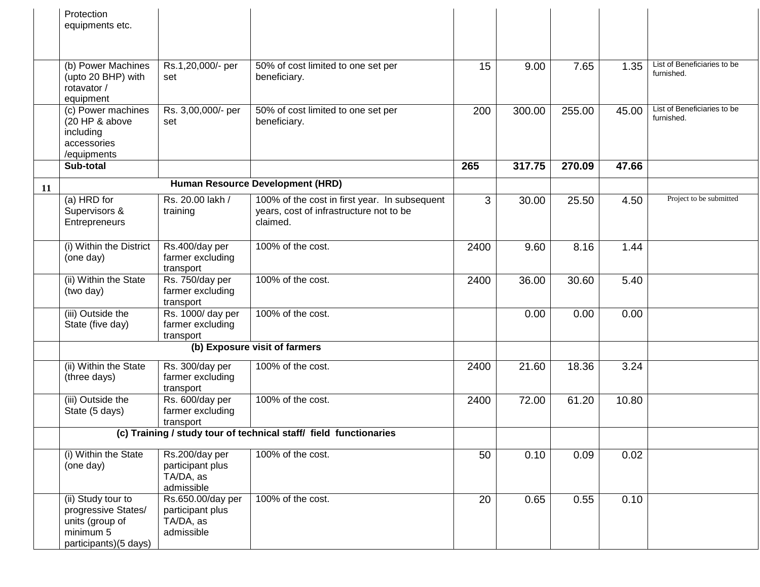|    | Protection<br>equipments etc.                                                                      |                                                                  |                                                                                                      |      |        |        |       |                                           |
|----|----------------------------------------------------------------------------------------------------|------------------------------------------------------------------|------------------------------------------------------------------------------------------------------|------|--------|--------|-------|-------------------------------------------|
|    |                                                                                                    |                                                                  |                                                                                                      |      |        |        |       |                                           |
|    |                                                                                                    |                                                                  |                                                                                                      |      |        |        |       |                                           |
|    | (b) Power Machines<br>(upto 20 BHP) with<br>rotavator /<br>equipment                               | Rs.1,20,000/- per<br>set                                         | 50% of cost limited to one set per<br>beneficiary.                                                   | 15   | 9.00   | 7.65   | 1.35  | List of Beneficiaries to be<br>furnished. |
|    | (c) Power machines<br>(20 HP & above<br>including<br>accessories<br>/equipments                    | Rs. 3,00,000/- per<br>set                                        | 50% of cost limited to one set per<br>beneficiary.                                                   | 200  | 300.00 | 255.00 | 45.00 | List of Beneficiaries to be<br>furnished. |
|    | Sub-total                                                                                          |                                                                  |                                                                                                      | 265  | 317.75 | 270.09 | 47.66 |                                           |
| 11 |                                                                                                    |                                                                  | Human Resource Development (HRD)                                                                     |      |        |        |       |                                           |
|    | (a) HRD for<br>Supervisors &<br>Entrepreneurs                                                      | Rs. 20.00 lakh /<br>training                                     | 100% of the cost in first year. In subsequent<br>years, cost of infrastructure not to be<br>claimed. | 3    | 30.00  | 25.50  | 4.50  | Project to be submitted                   |
|    | (i) Within the District<br>(one day)                                                               | Rs.400/day per<br>farmer excluding<br>transport                  | 100% of the cost.                                                                                    | 2400 | 9.60   | 8.16   | 1.44  |                                           |
|    | (ii) Within the State<br>(two day)                                                                 | Rs. 750/day per<br>farmer excluding<br>transport                 | 100% of the cost.                                                                                    | 2400 | 36.00  | 30.60  | 5.40  |                                           |
|    | (iii) Outside the<br>State (five day)                                                              | Rs. 1000/ day per<br>farmer excluding<br>transport               | 100% of the cost.                                                                                    |      | 0.00   | 0.00   | 0.00  |                                           |
|    |                                                                                                    |                                                                  | (b) Exposure visit of farmers                                                                        |      |        |        |       |                                           |
|    | (ii) Within the State<br>(three days)                                                              | Rs. 300/day per<br>farmer excluding<br>transport                 | 100% of the cost.                                                                                    | 2400 | 21.60  | 18.36  | 3.24  |                                           |
|    | (iii) Outside the<br>State (5 days)                                                                | Rs. 600/day per<br>farmer excluding<br>transport                 | 100% of the cost.                                                                                    | 2400 | 72.00  | 61.20  | 10.80 |                                           |
|    |                                                                                                    |                                                                  | (c) Training / study tour of technical staff/ field functionaries                                    |      |        |        |       |                                           |
|    | (i) Within the State<br>(one day)                                                                  | Rs.200/day per<br>participant plus<br>TA/DA, as<br>admissible    | 100% of the cost.                                                                                    | 50   | 0.10   | 0.09   | 0.02  |                                           |
|    | (ii) Study tour to<br>progressive States/<br>units (group of<br>minimum 5<br>participants)(5 days) | Rs.650.00/day per<br>participant plus<br>TA/DA, as<br>admissible | 100% of the cost.                                                                                    | 20   | 0.65   | 0.55   | 0.10  |                                           |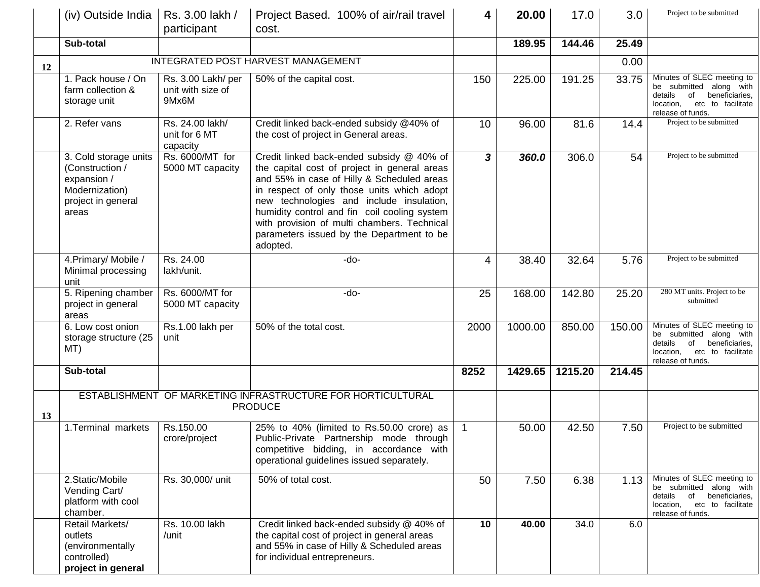|    | (iv) Outside India                                                                                       | Rs. 3.00 lakh /<br>participant                   | Project Based. 100% of air/rail travel<br>cost.                                                                                                                                                                                                                                                                                                                                           | 4              | 20.00   | 17.0    | 3.0    | Project to be submitted                                                                                                                         |
|----|----------------------------------------------------------------------------------------------------------|--------------------------------------------------|-------------------------------------------------------------------------------------------------------------------------------------------------------------------------------------------------------------------------------------------------------------------------------------------------------------------------------------------------------------------------------------------|----------------|---------|---------|--------|-------------------------------------------------------------------------------------------------------------------------------------------------|
|    | Sub-total                                                                                                |                                                  |                                                                                                                                                                                                                                                                                                                                                                                           |                | 189.95  | 144.46  | 25.49  |                                                                                                                                                 |
| 12 |                                                                                                          |                                                  | INTEGRATED POST HARVEST MANAGEMENT                                                                                                                                                                                                                                                                                                                                                        |                |         |         | 0.00   |                                                                                                                                                 |
|    | 1. Pack house / On<br>farm collection &<br>storage unit                                                  | Rs. 3.00 Lakh/ per<br>unit with size of<br>9Mx6M | 50% of the capital cost.                                                                                                                                                                                                                                                                                                                                                                  | 150            | 225.00  | 191.25  | 33.75  | Minutes of SLEC meeting to<br>be submitted along with<br>details<br>beneficiaries,<br>of<br>etc to facilitate<br>location,<br>release of funds. |
|    | 2. Refer vans                                                                                            | Rs. 24.00 lakh/<br>unit for 6 MT<br>capacity     | Credit linked back-ended subsidy @40% of<br>the cost of project in General areas.                                                                                                                                                                                                                                                                                                         | 10             | 96.00   | 81.6    | 14.4   | Project to be submitted                                                                                                                         |
|    | 3. Cold storage units<br>(Construction /<br>expansion /<br>Modernization)<br>project in general<br>areas | Rs. 6000/MT for<br>5000 MT capacity              | Credit linked back-ended subsidy @ 40% of<br>the capital cost of project in general areas<br>and 55% in case of Hilly & Scheduled areas<br>in respect of only those units which adopt<br>new technologies and include insulation,<br>humidity control and fin coil cooling system<br>with provision of multi chambers. Technical<br>parameters issued by the Department to be<br>adopted. | 3              | 360.0   | 306.0   | 54     | Project to be submitted                                                                                                                         |
|    | 4. Primary/ Mobile /<br>Minimal processing<br>unit                                                       | Rs. 24.00<br>lakh/unit.                          | $-do-$                                                                                                                                                                                                                                                                                                                                                                                    | 4              | 38.40   | 32.64   | 5.76   | Project to be submitted                                                                                                                         |
|    | 5. Ripening chamber<br>project in general<br>areas                                                       | Rs. 6000/MT for<br>5000 MT capacity              | -do-                                                                                                                                                                                                                                                                                                                                                                                      | 25             | 168.00  | 142.80  | 25.20  | 280 MT units. Project to be<br>submitted                                                                                                        |
|    | 6. Low cost onion<br>storage structure (25<br>MT)                                                        | Rs.1.00 lakh per<br>unit                         | 50% of the total cost.                                                                                                                                                                                                                                                                                                                                                                    | 2000           | 1000.00 | 850.00  | 150.00 | Minutes of SLEC meeting to<br>be submitted along with<br>details<br>of beneficiaries,<br>etc to facilitate<br>location,<br>release of funds.    |
|    | Sub-total                                                                                                |                                                  |                                                                                                                                                                                                                                                                                                                                                                                           | 8252           | 1429.65 | 1215.20 | 214.45 |                                                                                                                                                 |
| 13 |                                                                                                          |                                                  | ESTABLISHMENT OF MARKETING INFRASTRUCTURE FOR HORTICULTURAL<br><b>PRODUCE</b>                                                                                                                                                                                                                                                                                                             |                |         |         |        |                                                                                                                                                 |
|    | 1. Terminal markets                                                                                      | Rs.150.00<br>crore/project                       | 25% to 40% (limited to Rs.50.00 crore) as<br>Public-Private Partnership mode through<br>competitive bidding, in accordance with<br>operational guidelines issued separately.                                                                                                                                                                                                              | $\overline{1}$ | 50.00   | 42.50   | 7.50   | Project to be submitted                                                                                                                         |
|    | 2. Static/Mobile<br>Vending Cart/<br>platform with cool<br>chamber.                                      | Rs. 30,000/ unit                                 | 50% of total cost.                                                                                                                                                                                                                                                                                                                                                                        | 50             | 7.50    | 6.38    | 1.13   | Minutes of SLEC meeting to<br>be submitted along with<br>details of beneficiaries,<br>etc to facilitate<br>location,<br>release of funds.       |
|    | Retail Markets/<br>outlets<br>(environmentally<br>controlled)<br>project in general                      | Rs. 10.00 lakh<br>/unit                          | Credit linked back-ended subsidy @ 40% of<br>the capital cost of project in general areas<br>and 55% in case of Hilly & Scheduled areas<br>for individual entrepreneurs.                                                                                                                                                                                                                  | 10             | 40.00   | 34.0    | 6.0    |                                                                                                                                                 |